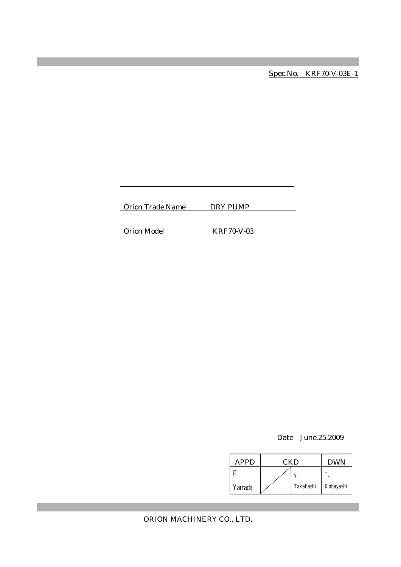Spec.No. KRF70-V-03E-1

Orion Trade Name DRY PUMP

Orion Model KRF70-V-03

Date June.25.2009

| APPD   | CKD |           | <b>DWN</b> |
|--------|-----|-----------|------------|
|        |     |           |            |
| Yamada |     | Takahashi | Kobayashi  |

ORION MACHINERY CO., LTD.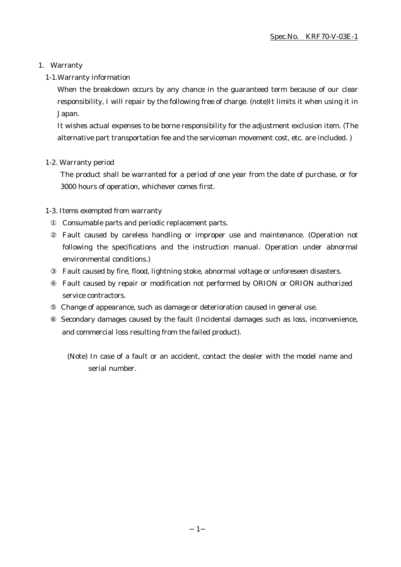#### 1. Warranty

#### 1-1.Warranty information

When the breakdown occurs by any chance in the guaranteed term because of our clear responsibility, I will repair by the following free of charge. (note)It limits it when using it in Japan.

It wishes actual expenses to be borne responsibility for the adjustment exclusion item. (The alternative part transportation fee and the serviceman movement cost, etc. are included. )

#### 1-2. Warranty period

The product shall be warranted for a period of one year from the date of purchase, or for 3000 hours of operation, whichever comes first.

#### 1-3. Items exempted from warranty

Consumable parts and periodic replacement parts.

Fault caused by careless handling or improper use and maintenance. (Operation not following the specifications and the instruction manual. Operation under abnormal environmental conditions.)

Fault caused by fire, flood, lightning stoke, abnormal voltage or unforeseen disasters.

Fault caused by repair or modification not performed by ORION or ORION authorized service contractors.

Change of appearance, such as damage or deterioration caused in general use.

 Secondary damages caused by the fault (Incidental damages such as loss, inconvenience, and commercial loss resulting from the failed product).

(Note) In case of a fault or an accident, contact the dealer with the model name and serial number.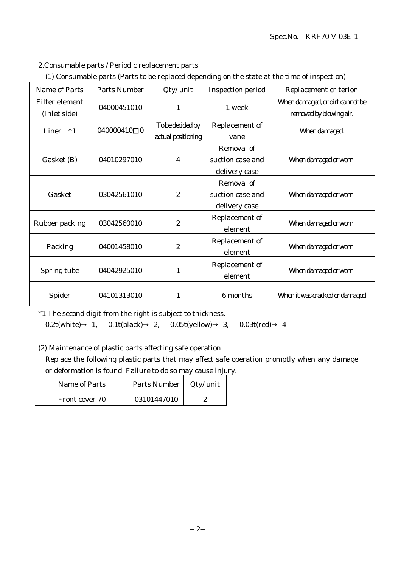#### Spec.No. KRF70-V-03E-1

### 2.Consumable parts / Periodic replacement parts

|  | (1) Consumable parts (Parts to be replaced depending on the state at the time of inspection) |  |
|--|----------------------------------------------------------------------------------------------|--|
|  |                                                                                              |  |

| Name of Parts                  | <b>Parts Number</b>   | Qty/ unit                              | Inspection period                               | Replacement criterion                                      |
|--------------------------------|-----------------------|----------------------------------------|-------------------------------------------------|------------------------------------------------------------|
| Filter element<br>(Inlet side) | 04000451010           | $\mathbf{1}$                           | 1 week                                          | When damaged, or dirt cannot be<br>removed by blowing air. |
| Liner $*1$                     | 040000410<br>$\bf{0}$ | To be decided by<br>actual positioning | Replacement of<br>vane                          | When damaged.                                              |
| Gasket (B)                     | 04010297010           | 4                                      | Removal of<br>suction case and<br>delivery case | When damaged or worn.                                      |
| Gasket                         | 03042561010           | $\boldsymbol{2}$                       | Removal of<br>suction case and<br>delivery case | When damaged or worn.                                      |
| Rubber packing                 | 03042560010           | $\boldsymbol{2}$                       | Replacement of<br>element                       | When damaged or worn.                                      |
| Packing                        | 04001458010           | $\boldsymbol{2}$                       | Replacement of<br>element                       | When damaged or worn.                                      |
| Spring tube                    | 04042925010           | 1                                      | Replacement of<br>element                       | When damaged or worn.                                      |
| Spider                         | 04101313010           | 1                                      | 6 months                                        | When it was cracked or damaged                             |

\*1 The second digit from the right is subject to thickness.

0.2t(white) 1, 0.1t(black) 2, 0.05t(yellow) 3, 0.03t(red) 4

(2) Maintenance of plastic parts affecting safe operation

Replace the following plastic parts that may affect safe operation promptly when any damage or deformation is found. Failure to do so may cause injury.

| Name of Parts  | Parts Number   Qty/ unit |  |
|----------------|--------------------------|--|
| Front cover 70 | 03101447010              |  |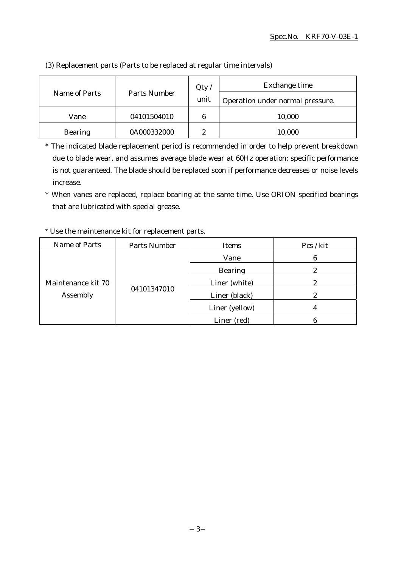| Name of Parts  | Parts Number | Qty/<br>unit | Exchange time<br>Operation under normal pressure. |
|----------------|--------------|--------------|---------------------------------------------------|
| Vane           | 04101504010  | 6            | 10,000                                            |
| <b>Bearing</b> | 0A000332000  | 9            | 10,000                                            |

(3) Replacement parts (Parts to be replaced at regular time intervals)

\* The indicated blade replacement period is recommended in order to help prevent breakdown due to blade wear, and assumes average blade wear at 60Hz operation; specific performance is not guaranteed. The blade should be replaced soon if performance decreases or noise levels increase.

\* When vanes are replaced, replace bearing at the same time. Use ORION specified bearings that are lubricated with special grease.

#### Name of Parts | Parts Number | Items | Pcs / kit Maintenance kit 70 Assembly 04101347010 Vane 6 Bearing 2 Liner (white) 2 Liner (black) 2 Liner (yellow) 4 Liner (red) 6

#### \* Use the maintenance kit for replacement parts.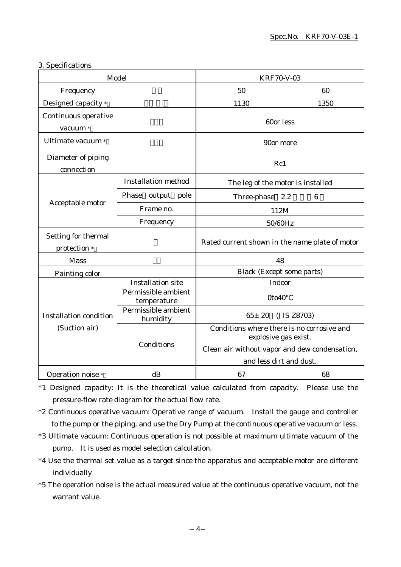#### 3. Specifications

| Model                               |                                    | <b>KRF70-V-03</b>                                                                                                                              |                 |  |
|-------------------------------------|------------------------------------|------------------------------------------------------------------------------------------------------------------------------------------------|-----------------|--|
| Frequency                           |                                    | 50                                                                                                                                             | 60              |  |
| Designed capacity *                 |                                    | 1130                                                                                                                                           | 1350            |  |
| Continuous operative<br>vacuum *    |                                    | 60or less                                                                                                                                      |                 |  |
| Ultimate vacuum *                   |                                    | 90or more                                                                                                                                      |                 |  |
| Diameter of piping<br>connection    |                                    | Rc1                                                                                                                                            |                 |  |
| Acceptable motor                    | <b>Installation method</b>         | The leg of the motor is installed                                                                                                              |                 |  |
|                                     | Phase<br>output pole               | Three-phase 2.2                                                                                                                                | $6\phantom{1}6$ |  |
|                                     | Frame no.                          | 112M                                                                                                                                           |                 |  |
|                                     | Frequency                          | 50/60Hz                                                                                                                                        |                 |  |
| Setting for thermal<br>protection * |                                    | Rated current shown in the name plate of motor                                                                                                 |                 |  |
| <b>Mass</b>                         |                                    | 48                                                                                                                                             |                 |  |
| Painting color                      |                                    | <b>Black (Except some parts)</b>                                                                                                               |                 |  |
|                                     | <b>Installation site</b>           | Indoor                                                                                                                                         |                 |  |
|                                     | Permissible ambient<br>temperature | 0to40                                                                                                                                          |                 |  |
| <b>Installation condition</b>       | Permissible ambient<br>humidity    | $65 \pm 20$<br>(JIS Z8703)                                                                                                                     |                 |  |
| (Suction air)                       | Conditions                         | Conditions where there is no corrosive and<br>explosive gas exist.<br>Clean air without vapor and dew condensation,<br>and less dirt and dust. |                 |  |
| Operation noise *                   | dB                                 | 67                                                                                                                                             | 68              |  |

\*1 Designed capacity: It is the theoretical value calculated from capacity. Please use the pressure-flow rate diagram for the actual flow rate.

- \*2 Continuous operative vacuum: Operative range of vacuum. Install the gauge and controller to the pump or the piping, and use the Dry Pump at the continuous operative vacuum or less.
- \*3 Ultimate vacuum: Continuous operation is not possible at maximum ultimate vacuum of the pump. It is used as model selection calculation.
- \*4 Use the thermal set value as a target since the apparatus and acceptable motor are different individually
- \*5 The operation noise is the actual measured value at the continuous operative vacuum, not the warrant value.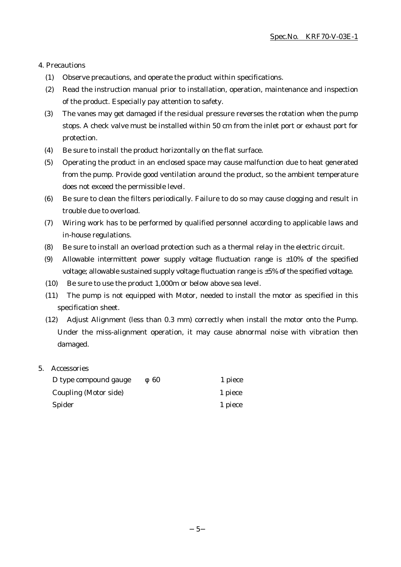#### 4. Precautions

- (1) Observe precautions, and operate the product within specifications.
- (2) Read the instruction manual prior to installation, operation, maintenance and inspection of the product. Especially pay attention to safety.
- (3) The vanes may get damaged if the residual pressure reverses the rotation when the pump stops. A check valve must be installed within 50 cm from the inlet port or exhaust port for protection.
- (4) Be sure to install the product horizontally on the flat surface.
- (5) Operating the product in an enclosed space may cause malfunction due to heat generated from the pump. Provide good ventilation around the product, so the ambient temperature does not exceed the permissible level.
- (6) Be sure to clean the filters periodically. Failure to do so may cause clogging and result in trouble due to overload.
- (7) Wiring work has to be performed by qualified personnel according to applicable laws and in-house regulations.
- (8) Be sure to install an overload protection such as a thermal relay in the electric circuit.
- (9) Allowable intermittent power supply voltage fluctuation range is  $\pm 10\%$  of the specified voltage; allowable sustained supply voltage fluctuation range is ±5% of the specified voltage.
- (10) Be sure to use the product 1,000m or below above sea level.
- (11) The pump is not equipped with Motor, needed to install the motor as specified in this specification sheet.
- (12) Adjust Alignment (less than 0.3 mm) correctly when install the motor onto the Pump. Under the miss-alignment operation, it may cause abnormal noise with vibration then damaged.

#### 5. Accessories

| D type compound gauge | 60 | 1 piece |
|-----------------------|----|---------|
| Coupling (Motor side) |    | 1 piece |
| Spider                |    | 1 piece |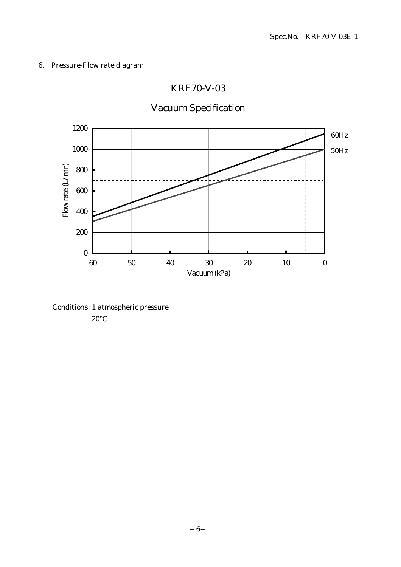## 6. Pressure-Flow rate diagram

## KRF70-V-03

# Vacuum Specification



Conditions: 1 atmospheric pressure 20